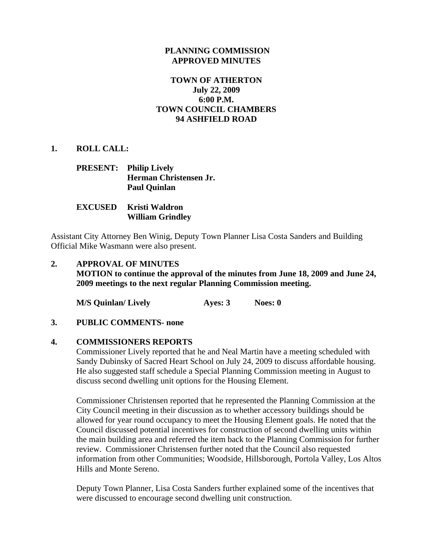#### **PLANNING COMMISSION APPROVED MINUTES**

## **TOWN OF ATHERTON July 22, 2009 6:00 P.M. TOWN COUNCIL CHAMBERS 94 ASHFIELD ROAD**

**1. ROLL CALL:** 

#### **PRESENT: Philip Lively Herman Christensen Jr. Paul Quinlan**

### **EXCUSED Kristi Waldron William Grindley**

Assistant City Attorney Ben Winig, Deputy Town Planner Lisa Costa Sanders and Building Official Mike Wasmann were also present.

# **2. APPROVAL OF MINUTES MOTION to continue the approval of the minutes from June 18, 2009 and June 24, 2009 meetings to the next regular Planning Commission meeting.**

**M/S Quinlan/ Lively Ayes: 3** Noes: 0

#### **3. PUBLIC COMMENTS- none**

#### **4. COMMISSIONERS REPORTS**

Commissioner Lively reported that he and Neal Martin have a meeting scheduled with Sandy Dubinsky of Sacred Heart School on July 24, 2009 to discuss affordable housing. He also suggested staff schedule a Special Planning Commission meeting in August to discuss second dwelling unit options for the Housing Element.

Commissioner Christensen reported that he represented the Planning Commission at the City Council meeting in their discussion as to whether accessory buildings should be allowed for year round occupancy to meet the Housing Element goals. He noted that the Council discussed potential incentives for construction of second dwelling units within the main building area and referred the item back to the Planning Commission for further review. Commissioner Christensen further noted that the Council also requested information from other Communities; Woodside, Hillsborough, Portola Valley, Los Altos Hills and Monte Sereno.

Deputy Town Planner, Lisa Costa Sanders further explained some of the incentives that were discussed to encourage second dwelling unit construction.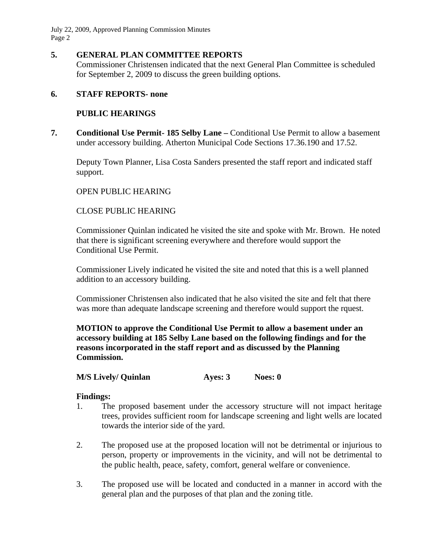July 22, 2009, Approved Planning Commission Minutes Page 2

## **5. GENERAL PLAN COMMITTEE REPORTS**

Commissioner Christensen indicated that the next General Plan Committee is scheduled for September 2, 2009 to discuss the green building options.

## **6. STAFF REPORTS- none**

### **PUBLIC HEARINGS**

**7. Conditional Use Permit- 185 Selby Lane –** Conditional Use Permit to allow a basement under accessory building. Atherton Municipal Code Sections 17.36.190 and 17.52.

Deputy Town Planner, Lisa Costa Sanders presented the staff report and indicated staff support.

### OPEN PUBLIC HEARING

### CLOSE PUBLIC HEARING

Commissioner Quinlan indicated he visited the site and spoke with Mr. Brown. He noted that there is significant screening everywhere and therefore would support the Conditional Use Permit.

Commissioner Lively indicated he visited the site and noted that this is a well planned addition to an accessory building.

Commissioner Christensen also indicated that he also visited the site and felt that there was more than adequate landscape screening and therefore would support the rquest.

**MOTION to approve the Conditional Use Permit to allow a basement under an accessory building at 185 Selby Lane based on the following findings and for the reasons incorporated in the staff report and as discussed by the Planning Commission.** 

 **M/S Lively/ Quinlan Ayes: 3** Noes: 0

#### **Findings:**

- 1. The proposed basement under the accessory structure will not impact heritage trees, provides sufficient room for landscape screening and light wells are located towards the interior side of the yard.
- 2. The proposed use at the proposed location will not be detrimental or injurious to person, property or improvements in the vicinity, and will not be detrimental to the public health, peace, safety, comfort, general welfare or convenience.
- 3. The proposed use will be located and conducted in a manner in accord with the general plan and the purposes of that plan and the zoning title.